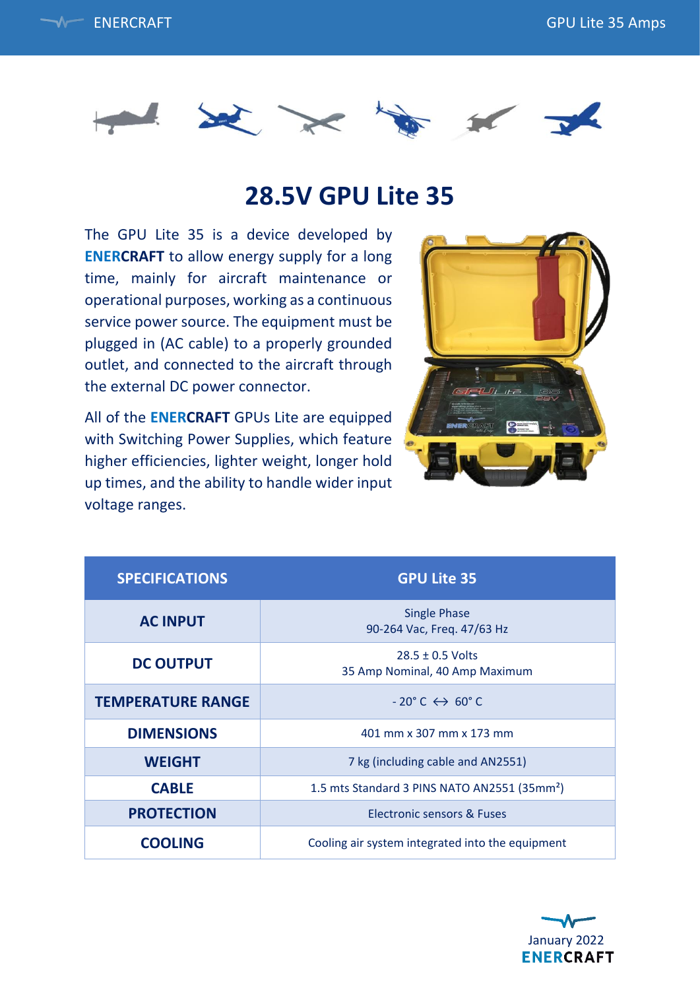



## **28.5V GPU Lite 35**

The GPU Lite 35 is a device developed by **ENERCRAFT** to allow energy supply for a long time, mainly for aircraft maintenance or operational purposes, working as a continuous service power source. The equipment must be plugged in (AC cable) to a properly grounded outlet, and connected to the aircraft through the external DC power connector.

All of the **ENERCRAFT** GPUs Lite are equipped with Switching Power Supplies, which feature higher efficiencies, lighter weight, longer hold up times, and the ability to handle wider input voltage ranges.



| <b>SPECIFICATIONS</b>    | <b>GPU Lite 35</b>                                       |
|--------------------------|----------------------------------------------------------|
| <b>AC INPUT</b>          | <b>Single Phase</b><br>90-264 Vac, Freq. 47/63 Hz        |
| <b>DC OUTPUT</b>         | $28.5 \pm 0.5$ Volts<br>35 Amp Nominal, 40 Amp Maximum   |
| <b>TEMPERATURE RANGE</b> | $-20^{\circ}$ C $\leftrightarrow$ 60 $^{\circ}$ C        |
| <b>DIMENSIONS</b>        | 401 mm x 307 mm x 173 mm                                 |
| <b>WEIGHT</b>            | 7 kg (including cable and AN2551)                        |
| <b>CABLE</b>             | 1.5 mts Standard 3 PINS NATO AN2551 (35mm <sup>2</sup> ) |
| <b>PROTECTION</b>        | Electronic sensors & Fuses                               |
| <b>COOLING</b>           | Cooling air system integrated into the equipment         |